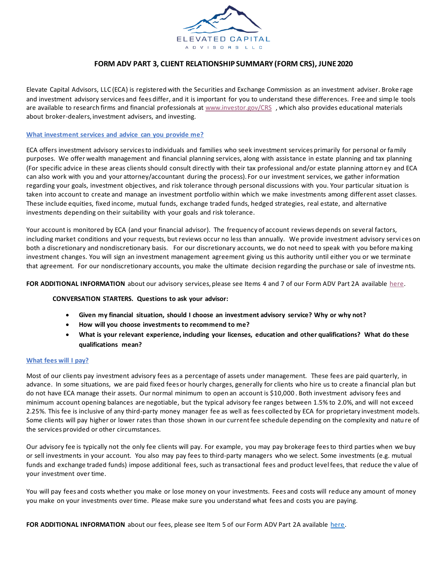

# **FORM ADV PART 3, CLIENT RELATIONSHIP SUMMARY (FORM CRS), JUNE 2020**

Elevate Capital Advisors, LLC (ECA) is registered with the Securities and Exchange Commission as an investment adviser. Broke rage and investment advisory services and fees differ, and it is important for you to understand these differences. Free and simp le tools are available to research firms and financial professionals a[t www.investor.gov/CRS](http://www.investor.gov/CRS) , which also provides educational materials about broker-dealers, investment advisers, and investing.

## **What investment services and advice can you provide me?**

ECA offers investment advisory services to individuals and families who seek investment services primarily for personal or family purposes. We offer wealth management and financial planning services, along with assistance in estate planning and tax planning (For specific advice in these areas clients should consult directly with their tax professional and/or estate planning attorn ey and ECA can also work with you and your attorney/accountant during the process). For our investment services, we gather information regarding your goals, investment objectives, and risk tolerance through personal discussions with you. Your particular situation is taken into account to create and manage an investment portfolio within which we make investments among different asset classes. These include equities, fixed income, mutual funds, exchange traded funds, hedged strategies, real estate, and alternative investments depending on their suitability with your goals and risk tolerance.

Your account is monitored by ECA (and your financial advisor). The frequency of account reviews depends on several factors, including market conditions and your requests, but reviews occur no less than annually. We provide investment advisory servi ces on both a discretionary and nondiscretionary basis. For our discretionary accounts, we do not need to speak with you before ma king investment changes. You will sign an investment management agreement giving us this authority until either you or we terminate that agreement. For our nondiscretionary accounts, you make the ultimate decision regarding the purchase or sale of investme nts.

**FOR ADDITIONAL INFORMATION** about our advisory services, please see Items 4 and 7 of our Form ADV Part 2A available [here.](https://www.elevateyourplanning.com/wp-content/uploads/2020/06/Elevated-Capital-Advisors-Form-ADV-2A-June-2020.pdf)

#### **CONVERSATION STARTERS. Questions to ask your advisor:**

- **Given my financial situation, should I choose an investment advisory service? Why or why not?**
- **How will you choose investments to recommend to me?**
- **What is your relevant experience, including your licenses, education and other qualifications? What do these qualifications mean?**

## **What fees will I pay?**

Most of our clients pay investment advisory fees as a percentage of assets under management. These fees are paid quarterly, in advance. In some situations, we are paid fixed fees or hourly charges, generally for clients who hire us to create a financial plan but do not have ECA manage their assets. Our normal minimum to open an account is \$10,000 . Both investment advisory fees and minimum account opening balances are negotiable, but the typical advisory fee ranges between 1.5% to 2.0%, and will not exceed 2.25%. This fee is inclusive of any third-party money manager fee as well as fees collected by ECA for proprietary investment models. Some clients will pay higher or lower rates than those shown in our current fee schedule depending on the complexity and natu re of the services provided or other circumstances.

Our advisory fee is typically not the only fee clients will pay. For example, you may pay brokerage fees to third parties when we buy or sell investments in your account. You also may pay fees to third-party managers who we select. Some investments (e.g. mutual funds and exchange traded funds) impose additional fees, such as transactional fees and product level fees, that reduce the v alue of your investment over time.

You will pay fees and costs whether you make or lose money on your investments. Fees and costs will reduce any amount of money you make on your investments over time. Please make sure you understand what fees and costs you are paying.

FOR ADDITIONAL INFORMATION about our fees, please see Item 5 of our Form ADV Part 2A available [here.](https://www.elevateyourplanning.com/wp-content/uploads/2020/06/Elevated-Capital-Advisors-Form-ADV-2A-June-2020.pdf)